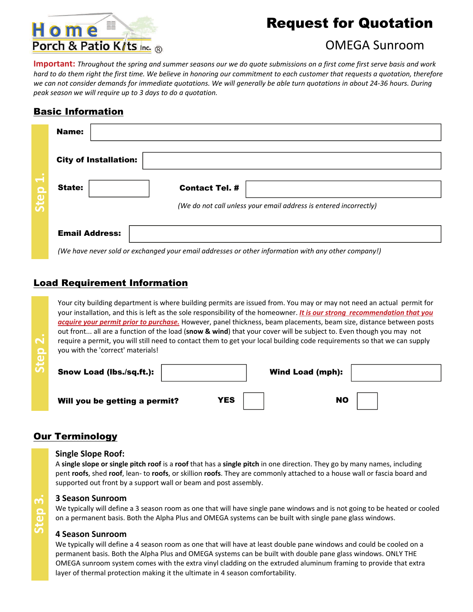# Home Porch & Patio K/ts Inc. ®

## Request for Quotation

### OMEGA Sunroom

**Important:** Throughout the spring and summer seasons our we do quote submissions on a first come first serve basis and work hard to do them right the first time. We believe in honoring our commitment to each customer that requests a quotation, therefore we can not consider demands for immediate quotations. We will generally be able turn quotations in about 24-36 hours. During *peak season we will require up to 3 days to do a quotation.*

### Basic Information

|                          | <b>Name:</b>                           |                                                                   |
|--------------------------|----------------------------------------|-------------------------------------------------------------------|
|                          | <b>City of Installation:</b>           |                                                                   |
| $\overline{\phantom{a}}$ | State:                                 | <b>Contact Tel. #</b>                                             |
| Step                     |                                        | (We do not call unless your email address is entered incorrectly) |
|                          | <b>Email Address:</b><br>$\sim$ $\sim$ | $\cdot$ .                                                         |

*(We have never sold or exchanged your email addresses or other information with any other company!)*

### Load Requirement Information

Your city building department is where building permits are issued from. You may or may not need an actual permit for your installation, and this is left as the sole responsibility of the homeowner. *It is our strong recommendation that you acquire your permit prior to purchase.* However, panel thickness, beam placements, beam size, distance between posts out front... all are a function of the load (**[snow](http://www.homeporchandpatiokits.com/snow_load.htm) & wind**) that your cover will be subject to. Even though you may not require a permit, you will still need to contact them to get your local building code requirements so that we can supply you with the 'correct' materials!

| $\sim$<br>$\Omega$ | you with the 'correct' materials! |     | require a permit, you will still need to contact them to get your local building code requirements so that we can supply |
|--------------------|-----------------------------------|-----|--------------------------------------------------------------------------------------------------------------------------|
|                    | Snow Load (lbs./sq.ft.):          |     | <b>Wind Load (mph):</b>                                                                                                  |
|                    | Will you be getting a permit?     | YES | <b>NO</b>                                                                                                                |

### **Our Terminology**

#### **Single Slope Roof:**

A **single slope or single pitch roof** is a **roof** that has a **single pitch** in one direction. They go by many names, including pent **roofs**, shed **roof**, lean‐ to **roofs**, or skillion **roofs**. They are commonly attached to a house wall or fascia board and supported out front by a support wall or beam and post assembly.

#### **3 Season Sunroom**

We typically will define a 3 season room as one that will have single pane windows and is not going to be heated or cooled on a permanent basis. Both the Alpha Plus and OMEGA systems can be built with single pane glass windows.

#### **4 Season Sunroom**

We typically will define a 4 season room as one that will have at least double pane windows and could be cooled on a permanent basis. Both the Alpha Plus and OMEGA systems can be built with double pane glass windows. ONLY THE OMEGA sunroom system comes with the extra vinyl cladding on the extruded aluminum framing to provide that extra layer of thermal protection making it the ultimate in 4 season comfortability.

**Step 3.**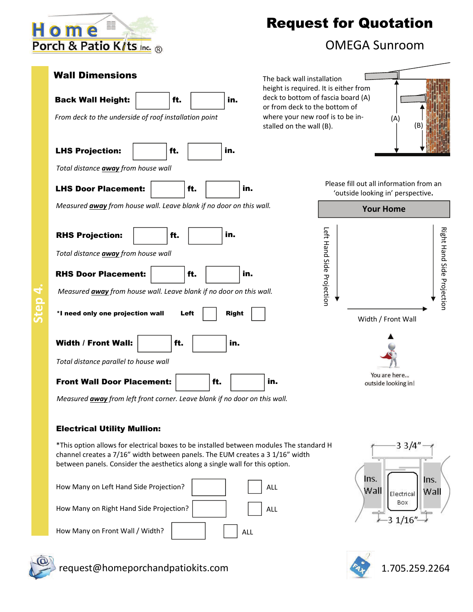

LHS Projection: | | | ft.

Back Wall Height:  $\vert$  ft.  $\vert$  in.

LHS Door Placement:  $\left| \begin{array}{ccc} \text{H.} & \text{H.} \\ \text{H.} & \text{H.} \end{array} \right|$ 

*From deck to the underside of roof installation point*

*Total distance away from house wall*

RHS Projection: | ft.

*Total distance away from house wall*

# Request for Quotation

### OMEGA Sunroom

Wall Dimensions The back wall installation height is required. It is either from deck to bottom of fascia board (A) or from deck to the bottom of where your new roof is to be in‐ stalled on the wall (B).



Please fill out all information from an 'outside looking in' perspective**.**



*Measured away from left front corner. Leave blank if no door on this wall.*

#### Electrical Utility Mullion:

\*This option allows for electrical boxes to be installed between modules The standard H channel creates a 7/16" width between panels. The EUM creates a 3 1/16" width between panels. Consider the aesthetics along a single wall for this option.

in.

in.

in.

| How Many on Left Hand Side Projection?  | ALL                          |
|-----------------------------------------|------------------------------|
| How Many on Right Hand Side Projection? | $\overline{\phantom{a}}$ ALL |
| How Many on Front Wall / Width?         | ALL                          |







*Total distance parallel to house wall* Front Wall Door Placement:  $\vert$  ft.  $\vert$  in.

Width / Front Wall:  $\vert$  ft.

 $*$ I need only one projection wall  $L$ eft  $\parallel$  Right

RHS Door Placement: | ft. | | | in.



request@homeporchandpatiokits.com and the state of the 1.705.259.2264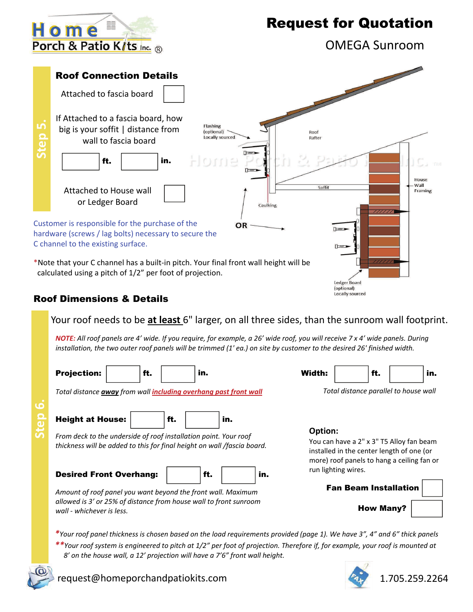Home Porch & Patio K/ts Inc. ®

OMEGA Sunroom



### Your roof needs to be **at least** 6" larger, on all three sides, than the sunroom wall footprint.

NOTE: All roof panels are 4' wide. If you require, for example, a 26' wide roof, you will receive 7 x 4' wide panels. During installation, the two outer roof panels will be trimmed (1'ea.) on site by customer to the desired 26' finished width.

| <b>Projection:</b>                                                                                                                          | ft. |     | in. |                                                                                                                                                | Width: |                                       | ft.              |  | in. |
|---------------------------------------------------------------------------------------------------------------------------------------------|-----|-----|-----|------------------------------------------------------------------------------------------------------------------------------------------------|--------|---------------------------------------|------------------|--|-----|
| Total distance <b>away</b> from wall <i>including overhang past front wall</i>                                                              |     |     |     |                                                                                                                                                |        | Total distance parallel to house wall |                  |  |     |
| <b>Height at House:</b>                                                                                                                     |     | ft. | in. |                                                                                                                                                |        |                                       |                  |  |     |
| From deck to the underside of roof installation point. Your roof<br>thickness will be added to this for final height on wall /fascia board. |     |     |     | Option:<br>You can have a 2" x 3" T5 Alloy fan beam<br>installed in the center length of one (or<br>more) roof panels to hang a ceiling fan or |        |                                       |                  |  |     |
| <b>Desired Front Overhang:</b>                                                                                                              |     |     | ft. | in.                                                                                                                                            |        | run lighting wires.                   |                  |  |     |
| Amount of roof panel you want beyond the front wall. Maximum                                                                                |     |     |     |                                                                                                                                                |        | <b>Fan Beam Installation</b>          |                  |  |     |
| allowed is 3' or 25% of distance from house wall to front sunroom<br>wall - whichever is less.                                              |     |     |     |                                                                                                                                                |        |                                       | <b>How Many?</b> |  |     |
|                                                                                                                                             |     |     |     |                                                                                                                                                |        |                                       |                  |  |     |

\*Your roof panel thickness is chosen based on the load requirements provided (page 1). We have 3", 4" and 6" thick panels  $**$ Your roof system is engineered to pitch at 1/2" per foot of projection. Therefore if, for example, your roof is mounted at  *8' on the house wall, a 12' projection will have a 7'6" front wall height.*





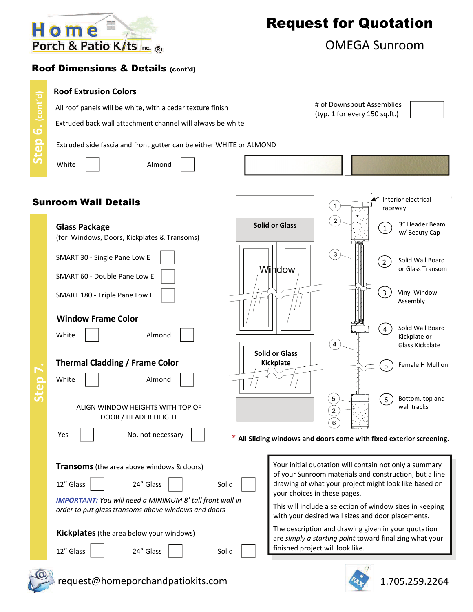

# of Downspout Assemblies

### OMEGA Sunroom

### Roof Dimensions & Details (cont'd)

#### **Roof Extrusion Colors**

All roof panels will be white, with a cedar texture finish

Extruded back wall attachment channel will always be white

(typ. 1 for every 150 sq.ft.)

Extruded side fascia and front gutter can be either WHITE or ALMOND

**Step 6. (cont'd)**

Step 6. (cont'd)

White | | Almond



### Sunroom Wall Details

| <b>Glass Package</b>                                            | <b>Solid or Glass</b> |                                                   | 3" Header Beam<br>$\left(1\right)$<br>w/ Beauty Cap                                                             |
|-----------------------------------------------------------------|-----------------------|---------------------------------------------------|-----------------------------------------------------------------------------------------------------------------|
| (for Windows, Doors, Kickplates & Transoms)                     |                       |                                                   |                                                                                                                 |
| SMART 30 - Single Pane Low E                                    |                       | $\overline{3}$                                    | Solid Wall Board<br>$\left( 2\right)$<br>or Glass Transom                                                       |
| SMART 60 - Double Pane Low E                                    | Window                |                                                   |                                                                                                                 |
| SMART 180 - Triple Pane Low E                                   |                       |                                                   | $\left(3\right)$<br>Vinyl Window<br>Assembly                                                                    |
| <b>Window Frame Color</b>                                       |                       |                                                   |                                                                                                                 |
| White<br>Almond                                                 |                       | $\overline{4}$                                    | Solid Wall Board<br>$\left(4\right)$<br>Kickplate or<br>Glass Kickplate                                         |
|                                                                 | <b>Solid or Glass</b> |                                                   |                                                                                                                 |
| <b>Thermal Cladding / Frame Color</b>                           | Kickplate             |                                                   | Female H Mullion<br>5                                                                                           |
| White<br>Almond                                                 |                       |                                                   |                                                                                                                 |
| ALIGN WINDOW HEIGHTS WITH TOP OF                                |                       | $\,$ 5 $\,$<br>$\sqrt{2}$                         | Bottom, top and<br>6<br>wall tracks                                                                             |
| DOOR / HEADER HEIGHT                                            |                       | $6^{\circ}$                                       |                                                                                                                 |
| Yes<br>No, not necessary                                        |                       |                                                   | All Sliding windows and doors come with fixed exterior screening.                                               |
|                                                                 |                       |                                                   |                                                                                                                 |
| <b>Transoms</b> (the area above windows & doors)                |                       |                                                   | Your initial quotation will contain not only a summary                                                          |
| 24" Glass<br>12" Glass<br>Solid                                 |                       |                                                   | of your Sunroom materials and construction, but a line<br>drawing of what your project might look like based on |
| <b>IMPORTANT:</b> You will need a MINIMUM 8' tall front wall in |                       | your choices in these pages.                      |                                                                                                                 |
| order to put glass transoms above windows and doors             |                       | with your desired wall sizes and door placements. | This will include a selection of window sizes in keeping                                                        |
| Kickplates (the area below your windows)                        |                       |                                                   | The description and drawing given in your quotation<br>are simply a starting point toward finalizing what your  |
| 12" Glass<br>24" Glass<br>Solid                                 |                       | finished project will look like.                  |                                                                                                                 |
|                                                                 |                       |                                                   |                                                                                                                 |



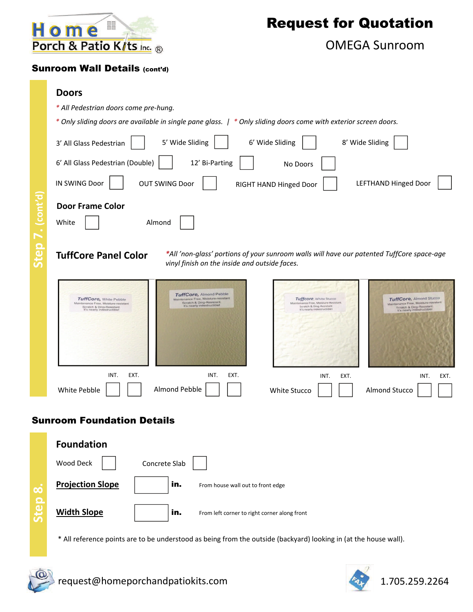

OMEGA Sunroom

#### Sunroom Wall Details (cont'd)

- *\* All Pedestrian doors come pre‐hung.*
- \* Only sliding doors are available in single pane glass. | \* Only sliding doors come with exterior screen doors.

|                            | 5' Wide Sliding<br>3' All Glass Pedestrian                                                                                                                                                                                                                | 6' Wide Sliding                                                                                                           | 8' Wide Sliding                                                                                                             |  |  |
|----------------------------|-----------------------------------------------------------------------------------------------------------------------------------------------------------------------------------------------------------------------------------------------------------|---------------------------------------------------------------------------------------------------------------------------|-----------------------------------------------------------------------------------------------------------------------------|--|--|
|                            | 6' All Glass Pedestrian (Double)<br>12' Bi-Parting                                                                                                                                                                                                        | No Doors                                                                                                                  |                                                                                                                             |  |  |
|                            | IN SWING Door<br><b>OUT SWING Door</b>                                                                                                                                                                                                                    | RIGHT HAND Hinged Door                                                                                                    | <b>LEFTHAND Hinged Door</b>                                                                                                 |  |  |
| $\cdot$ (cont'd)<br>Step 7 | <b>Door Frame Color</b><br>White<br>Almond<br>*All 'non-glass' portions of your sunroom walls will have our patented TuffCore space-age<br><b>TuffCore Panel Color</b><br>vinyl finish on the inside and outside faces.                                   |                                                                                                                           |                                                                                                                             |  |  |
|                            | TuffCore, Almond Pebble<br>Maintenance Free, Moisture-resistant<br>TuffCore, White Pebble<br>Scratch & Ding-Resistant.<br>Maintenance Free, Moisture-resistant<br>It's nearly indestructible!<br>Scratch & Ding-Resistant.<br>It's nearly indestructible! | Tuffcore, White Stucco<br>Maintenance Free, Moisture-Resistant<br>Scratch & Ding-Resistant<br>It's nearly indestructible! | TuffCore, Almond Stucco<br>Maintenance Free, Moisture-resistant<br>Scratch & Ding-Resistant.<br>It's nearly indestructible! |  |  |
|                            | INT.<br>EXT.<br>INT.<br>EXT.<br>Almond Pebble<br>White Pebble                                                                                                                                                                                             | INT.<br>EXT.<br>White Stucco                                                                                              | INT.<br>EXT.<br>Almond Stucco                                                                                               |  |  |
|                            | <b>Sunroom Foundation Details</b>                                                                                                                                                                                                                         |                                                                                                                           |                                                                                                                             |  |  |

|              | <b>Foundation</b>       |                                                     |  |
|--------------|-------------------------|-----------------------------------------------------|--|
|              | Wood Deck               | Concrete Slab                                       |  |
| $\mathbf{c}$ | <b>Projection Slope</b> | in.<br>From house wall out to front edge            |  |
|              | <b>Width Slope</b>      | in.<br>From left corner to right corner along front |  |

\* All reference points are to be understood as being from the outside (backyard) looking in (at the house wall).